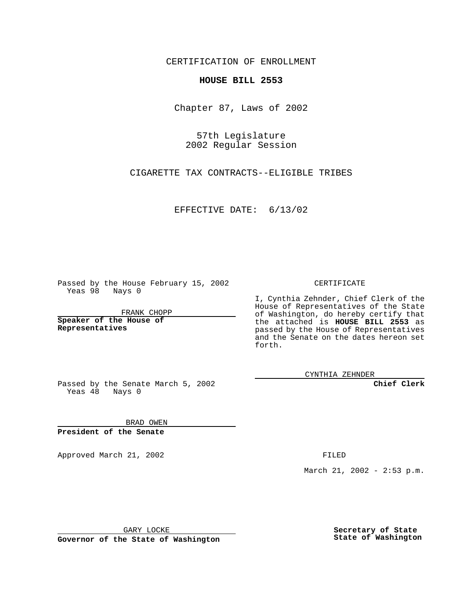CERTIFICATION OF ENROLLMENT

## **HOUSE BILL 2553**

Chapter 87, Laws of 2002

57th Legislature 2002 Regular Session

CIGARETTE TAX CONTRACTS--ELIGIBLE TRIBES

EFFECTIVE DATE: 6/13/02

Passed by the House February 15, 2002 Yeas 98 Nays 0

FRANK CHOPP

**Speaker of the House of Representatives**

CERTIFICATE

I, Cynthia Zehnder, Chief Clerk of the House of Representatives of the State of Washington, do hereby certify that the attached is **HOUSE BILL 2553** as passed by the House of Representatives and the Senate on the dates hereon set forth.

CYNTHIA ZEHNDER

**Chief Clerk**

Passed by the Senate March 5, 2002 Yeas  $48$  Nays 0

BRAD OWEN **President of the Senate**

Approved March 21, 2002 **FILED** 

March 21, 2002 - 2:53 p.m.

GARY LOCKE

**Governor of the State of Washington**

**Secretary of State State of Washington**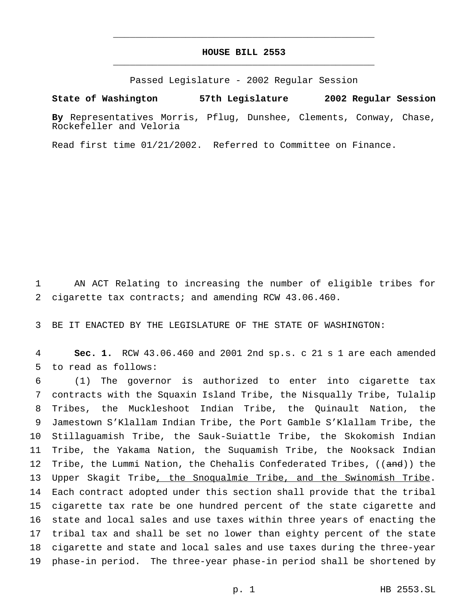## **HOUSE BILL 2553** \_\_\_\_\_\_\_\_\_\_\_\_\_\_\_\_\_\_\_\_\_\_\_\_\_\_\_\_\_\_\_\_\_\_\_\_\_\_\_\_\_\_\_\_\_\_\_

\_\_\_\_\_\_\_\_\_\_\_\_\_\_\_\_\_\_\_\_\_\_\_\_\_\_\_\_\_\_\_\_\_\_\_\_\_\_\_\_\_\_\_\_\_\_\_

Passed Legislature - 2002 Regular Session

**State of Washington 57th Legislature 2002 Regular Session**

**By** Representatives Morris, Pflug, Dunshee, Clements, Conway, Chase, Rockefeller and Veloria

Read first time 01/21/2002. Referred to Committee on Finance.

 AN ACT Relating to increasing the number of eligible tribes for cigarette tax contracts; and amending RCW 43.06.460.

BE IT ENACTED BY THE LEGISLATURE OF THE STATE OF WASHINGTON:

 **Sec. 1.** RCW 43.06.460 and 2001 2nd sp.s. c 21 s 1 are each amended to read as follows:

 (1) The governor is authorized to enter into cigarette tax contracts with the Squaxin Island Tribe, the Nisqually Tribe, Tulalip Tribes, the Muckleshoot Indian Tribe, the Quinault Nation, the Jamestown S'Klallam Indian Tribe, the Port Gamble S'Klallam Tribe, the Stillaguamish Tribe, the Sauk-Suiattle Tribe, the Skokomish Indian Tribe, the Yakama Nation, the Suquamish Tribe, the Nooksack Indian 12 Tribe, the Lummi Nation, the Chehalis Confederated Tribes, ((and)) the Upper Skagit Tribe, the Snoqualmie Tribe, and the Swinomish Tribe. Each contract adopted under this section shall provide that the tribal cigarette tax rate be one hundred percent of the state cigarette and state and local sales and use taxes within three years of enacting the tribal tax and shall be set no lower than eighty percent of the state cigarette and state and local sales and use taxes during the three-year phase-in period. The three-year phase-in period shall be shortened by